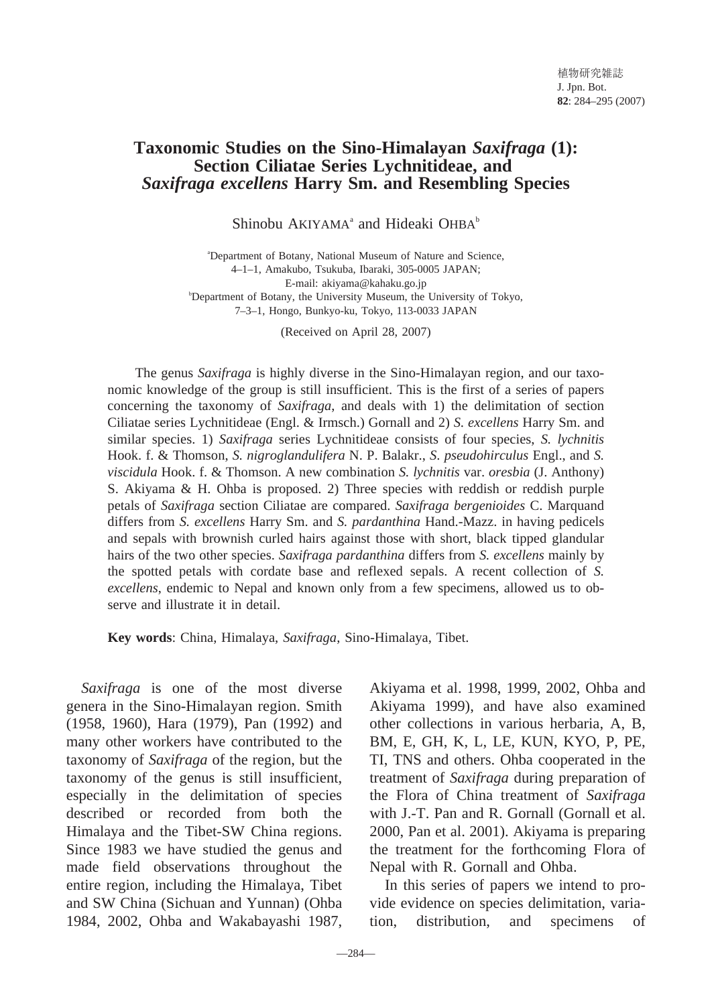# **Taxonomic Studies on the Sino-Himalayan** *Saxifraga* **(1): Section Ciliatae Series Lychnitideae, and** *Saxifraga excellens* **Harry Sm. and Resembling Species**

Shinobu  $AKIYAMA^a$  and Hideaki OHB $A^b$ 

a Department of Botany, National Museum of Nature and Science, 4–1–1, Amakubo, Tsukuba, Ibaraki, 305-0005 JAPAN; E-mail: akiyama@kahaku.go.jp b Department of Botany, the University Museum, the University of Tokyo, 7–3–1, Hongo, Bunkyo-ku, Tokyo, 113-0033 JAPAN

(Received on April 28, 2007)

The genus *Saxifraga* is highly diverse in the Sino-Himalayan region, and our taxonomic knowledge of the group is still insufficient. This is the first of a series of papers concerning the taxonomy of *Saxifraga*, and deals with 1) the delimitation of section Ciliatae series Lychnitideae (Engl. & Irmsch.) Gornall and 2) *S. excellens* Harry Sm. and similar species. 1) *Saxifraga* series Lychnitideae consists of four species, *S. lychnitis* Hook. f. & Thomson, *S. nigroglandulifera* N. P. Balakr., *S*. *pseudohirculus* Engl., and *S. viscidula* Hook. f. & Thomson. A new combination *S. lychnitis* var. *oresbia* (J. Anthony) S. Akiyama & H. Ohba is proposed. 2) Three species with reddish or reddish purple petals of *Saxifraga* section Ciliatae are compared. *Saxifraga bergenioides* C. Marquand differs from *S. excellens* Harry Sm. and *S. pardanthina* Hand.-Mazz. in having pedicels and sepals with brownish curled hairs against those with short, black tipped glandular hairs of the two other species. *Saxifraga pardanthina* differs from *S. excellens* mainly by the spotted petals with cordate base and reflexed sepals. A recent collection of *S. excellens*, endemic to Nepal and known only from a few specimens, allowed us to observe and illustrate it in detail.

**Key words**: China, Himalaya, *Saxifraga*, Sino-Himalaya, Tibet.

*Saxifraga* is one of the most diverse genera in the Sino-Himalayan region. Smith (1958, 1960), Hara (1979), Pan (1992) and many other workers have contributed to the taxonomy of *Saxifraga* of the region, but the taxonomy of the genus is still insufficient, especially in the delimitation of species described or recorded from both the Himalaya and the Tibet-SW China regions. Since 1983 we have studied the genus and made field observations throughout the entire region, including the Himalaya, Tibet and SW China (Sichuan and Yunnan) (Ohba 1984, 2002, Ohba and Wakabayashi 1987,

Akiyama et al. 1998, 1999, 2002, Ohba and Akiyama 1999), and have also examined other collections in various herbaria, A, B, BM, E, GH, K, L, LE, KUN, KYO, P, PE, TI, TNS and others. Ohba cooperated in the treatment of *Saxifraga* during preparation of the Flora of China treatment of *Saxifraga* with J.-T. Pan and R. Gornall (Gornall et al. 2000, Pan et al. 2001). Akiyama is preparing the treatment for the forthcoming Flora of Nepal with R. Gornall and Ohba.

In this series of papers we intend to provide evidence on species delimitation, variation, distribution, and specimens of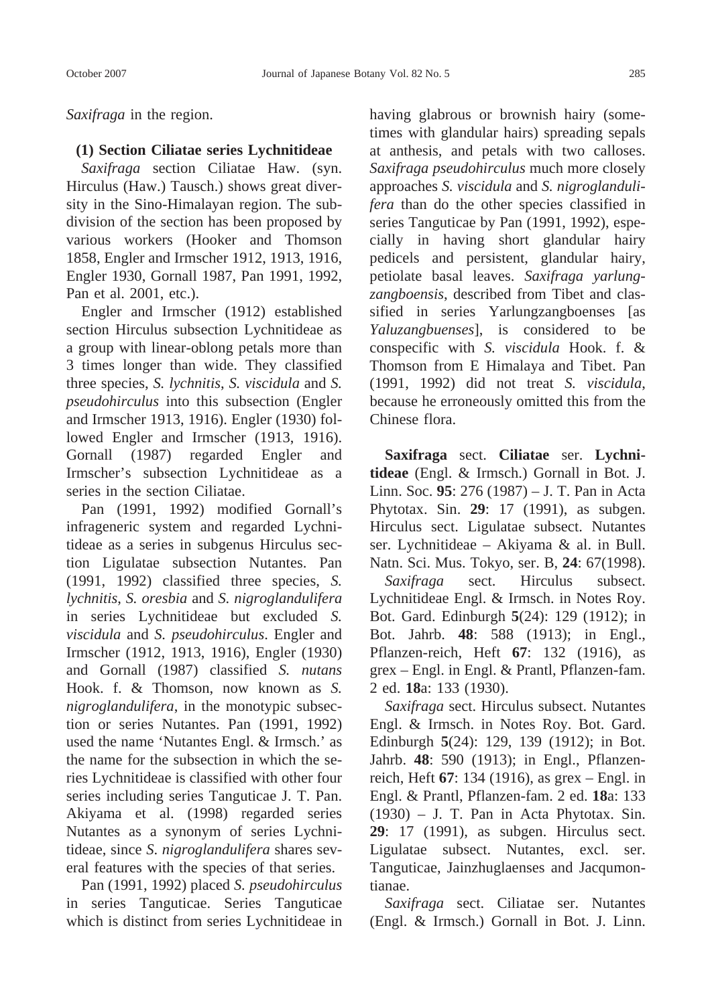*Saxifraga* in the region.

### **(1) Section Ciliatae series Lychnitideae**

*Saxifraga* section Ciliatae Haw. (syn. Hirculus (Haw.) Tausch.) shows great diversity in the Sino-Himalayan region. The subdivision of the section has been proposed by various workers (Hooker and Thomson 1858, Engler and Irmscher 1912, 1913, 1916, Engler 1930, Gornall 1987, Pan 1991, 1992, Pan et al. 2001, etc.).

Engler and Irmscher (1912) established section Hirculus subsection Lychnitideae as a group with linear-oblong petals more than 3 times longer than wide. They classified three species, *S. lychnitis*, *S. viscidula* and *S. pseudohirculus* into this subsection (Engler and Irmscher 1913, 1916). Engler (1930) followed Engler and Irmscher (1913, 1916). Gornall (1987) regarded Engler and Irmscher's subsection Lychnitideae as a series in the section Ciliatae.

Pan (1991, 1992) modified Gornall's infrageneric system and regarded Lychnitideae as a series in subgenus Hirculus section Ligulatae subsection Nutantes. Pan (1991, 1992) classified three species, *S. lychnitis*, *S. oresbia* and *S. nigroglandulifera* in series Lychnitideae but excluded *S. viscidula* and *S. pseudohirculus*. Engler and Irmscher (1912, 1913, 1916), Engler (1930) and Gornall (1987) classified *S. nutans* Hook. f. & Thomson, now known as *S. nigroglandulifera*, in the monotypic subsection or series Nutantes. Pan (1991, 1992) used the name 'Nutantes Engl. & Irmsch.' as the name for the subsection in which the series Lychnitideae is classified with other four series including series Tanguticae J. T. Pan. Akiyama et al. (1998) regarded series Nutantes as a synonym of series Lychnitideae, since *S*. *nigroglandulifera* shares several features with the species of that series.

Pan (1991, 1992) placed *S. pseudohirculus* in series Tanguticae. Series Tanguticae which is distinct from series Lychnitideae in

having glabrous or brownish hairy (sometimes with glandular hairs) spreading sepals at anthesis, and petals with two calloses. *Saxifraga pseudohirculus* much more closely approaches *S. viscidula* and *S. nigroglandulifera* than do the other species classified in series Tanguticae by Pan (1991, 1992), especially in having short glandular hairy pedicels and persistent, glandular hairy, petiolate basal leaves. *Saxifraga yarlungzangboensis*, described from Tibet and classified in series Yarlungzangboenses [as *Yaluzangbuenses*], is considered to be conspecific with *S. viscidula* Hook. f. & Thomson from E Himalaya and Tibet. Pan (1991, 1992) did not treat *S. viscidula*, because he erroneously omitted this from the Chinese flora.

**Saxifraga** sect. **Ciliatae** ser. **Lychnitideae** (Engl. & Irmsch.) Gornall in Bot. J. Linn. Soc. **95**: 276 (1987) – J. T. Pan in Acta Phytotax. Sin. **29**: 17 (1991), as subgen. Hirculus sect. Ligulatae subsect. Nutantes ser. Lychnitideae – Akiyama & al. in Bull. Natn. Sci. Mus. Tokyo, ser. B, **24**: 67(1998).

*Saxifraga* sect. Hirculus subsect. Lychnitideae Engl. & Irmsch. in Notes Roy. Bot. Gard. Edinburgh **5**(24): 129 (1912); in Bot. Jahrb. **48**: 588 (1913); in Engl., Pflanzen-reich, Heft **67**: 132 (1916), as grex – Engl. in Engl. & Prantl, Pflanzen-fam. 2 ed. **18**a: 133 (1930).

*Saxifraga* sect. Hirculus subsect. Nutantes Engl. & Irmsch. in Notes Roy. Bot. Gard. Edinburgh **5**(24): 129, 139 (1912); in Bot. Jahrb. **48**: 590 (1913); in Engl., Pflanzenreich, Heft **67**: 134 (1916), as grex – Engl. in Engl. & Prantl, Pflanzen-fam. 2 ed. **18**a: 133 (1930) – J. T. Pan in Acta Phytotax. Sin. **29**: 17 (1991), as subgen. Hirculus sect. Ligulatae subsect. Nutantes, excl. ser. Tanguticae, Jainzhuglaenses and Jacqumontianae.

*Saxifraga* sect. Ciliatae ser. Nutantes (Engl. & Irmsch.) Gornall in Bot. J. Linn.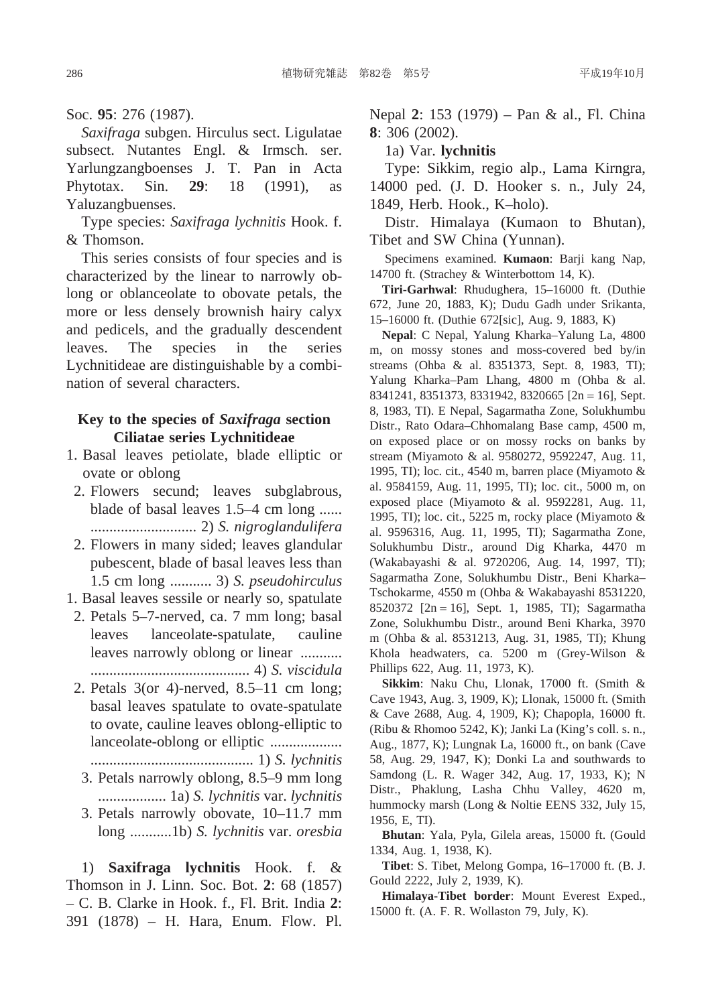#### Soc. **95**: 276 (1987).

*Saxifraga* subgen. Hirculus sect. Ligulatae subsect. Nutantes Engl. & Irmsch. ser. Yarlungzangboenses J. T. Pan in Acta Phytotax. Sin. **29**: 18 (1991), as Yaluzangbuenses.

Type species: *Saxifraga lychnitis* Hook. f. & Thomson.

This series consists of four species and is characterized by the linear to narrowly oblong or oblanceolate to obovate petals, the more or less densely brownish hairy calyx and pedicels, and the gradually descendent leaves. The species in the series Lychnitideae are distinguishable by a combination of several characters.

### **Key to the species of** *Saxifraga* **section Ciliatae series Lychnitideae**

- 1. Basal leaves petiolate, blade elliptic or ovate or oblong
- 2. Flowers secund; leaves subglabrous, blade of basal leaves 1.5–4 cm long ...... ............................ 2) *S. nigroglandulifera*
- 2. Flowers in many sided; leaves glandular pubescent, blade of basal leaves less than 1.5 cm long ........... 3) *S. pseudohirculus*
- 1. Basal leaves sessile or nearly so, spatulate
- 2. Petals 5–7-nerved, ca. 7 mm long; basal leaves lanceolate-spatulate, cauline leaves narrowly oblong or linear ........... .......................................... 4) *S. viscidula*
- 2. Petals 3(or 4)-nerved, 8.5–11 cm long; basal leaves spatulate to ovate-spatulate to ovate, cauline leaves oblong-elliptic to lanceolate-oblong or elliptic ...................

........................................... 1) *S. lychnitis*

- 3. Petals narrowly oblong, 8.5–9 mm long .................. 1a) *S. lychnitis* var. *lychnitis*
- 3. Petals narrowly obovate, 10–11.7 mm long ...........1b) *S. lychnitis* var. *oresbia*

1) **Saxifraga lychnitis** Hook. f. & Thomson in J. Linn. Soc. Bot. **2**: 68 (1857) – C. B. Clarke in Hook. f., Fl. Brit. India **2**: 391 (1878) – H. Hara, Enum. Flow. Pl.

Nepal **2**: 153 (1979) – Pan & al., Fl. China **8**: 306 (2002).

#### 1a) Var. **lychnitis**

Type: Sikkim, regio alp., Lama Kirngra, 14000 ped. (J. D. Hooker s. n., July 24, 1849, Herb. Hook., K–holo).

Distr. Himalaya (Kumaon to Bhutan), Tibet and SW China (Yunnan).

Specimens examined. **Kumaon**: Barji kang Nap, 14700 ft. (Strachey & Winterbottom 14, K).

**Tiri-Garhwal**: Rhudughera, 15–16000 ft. (Duthie 672, June 20, 1883, K); Dudu Gadh under Srikanta, 15–16000 ft. (Duthie 672[sic], Aug. 9, 1883, K)

**Nepal**: C Nepal, Yalung Kharka–Yalung La, 4800 m, on mossy stones and moss-covered bed by/in streams (Ohba & al. 8351373, Sept. 8, 1983, TI); Yalung Kharka–Pam Lhang, 4800 m (Ohba & al. 8341241, 8351373, 8331942, 8320665 [2n = 16], Sept. 8, 1983, TI). E Nepal, Sagarmatha Zone, Solukhumbu Distr., Rato Odara–Chhomalang Base camp, 4500 m, on exposed place or on mossy rocks on banks by stream (Miyamoto & al. 9580272, 9592247, Aug. 11, 1995, TI); loc. cit., 4540 m, barren place (Miyamoto  $\&$ al. 9584159, Aug. 11, 1995, TI); loc. cit., 5000 m, on exposed place (Miyamoto & al. 9592281, Aug. 11, 1995, TI); loc. cit., 5225 m, rocky place (Miyamoto & al. 9596316, Aug. 11, 1995, TI); Sagarmatha Zone, Solukhumbu Distr., around Dig Kharka, 4470 m (Wakabayashi & al. 9720206, Aug. 14, 1997, TI); Sagarmatha Zone, Solukhumbu Distr., Beni Kharka– Tschokarme, 4550 m (Ohba & Wakabayashi 8531220, 8520372 [2n = 16], Sept. 1, 1985, TI); Sagarmatha Zone, Solukhumbu Distr., around Beni Kharka, 3970 m (Ohba & al. 8531213, Aug. 31, 1985, TI); Khung Khola headwaters, ca. 5200 m (Grey-Wilson & Phillips 622, Aug. 11, 1973, K).

**Sikkim**: Naku Chu, Llonak, 17000 ft. (Smith & Cave 1943, Aug. 3, 1909, K); Llonak, 15000 ft. (Smith & Cave 2688, Aug. 4, 1909, K); Chapopla, 16000 ft. (Ribu & Rhomoo 5242, K); Janki La (King's coll. s. n., Aug., 1877, K); Lungnak La, 16000 ft., on bank (Cave 58, Aug. 29, 1947, K); Donki La and southwards to Samdong (L. R. Wager 342, Aug. 17, 1933, K); N Distr., Phaklung, Lasha Chhu Valley, 4620 m, hummocky marsh (Long & Noltie EENS 332, July 15, 1956, E, TI).

**Bhutan**: Yala, Pyla, Gilela areas, 15000 ft. (Gould 1334, Aug. 1, 1938, K).

**Tibet**: S. Tibet, Melong Gompa, 16–17000 ft. (B. J. Gould 2222, July 2, 1939, K).

**Himalaya-Tibet border**: Mount Everest Exped., 15000 ft. (A. F. R. Wollaston 79, July, K).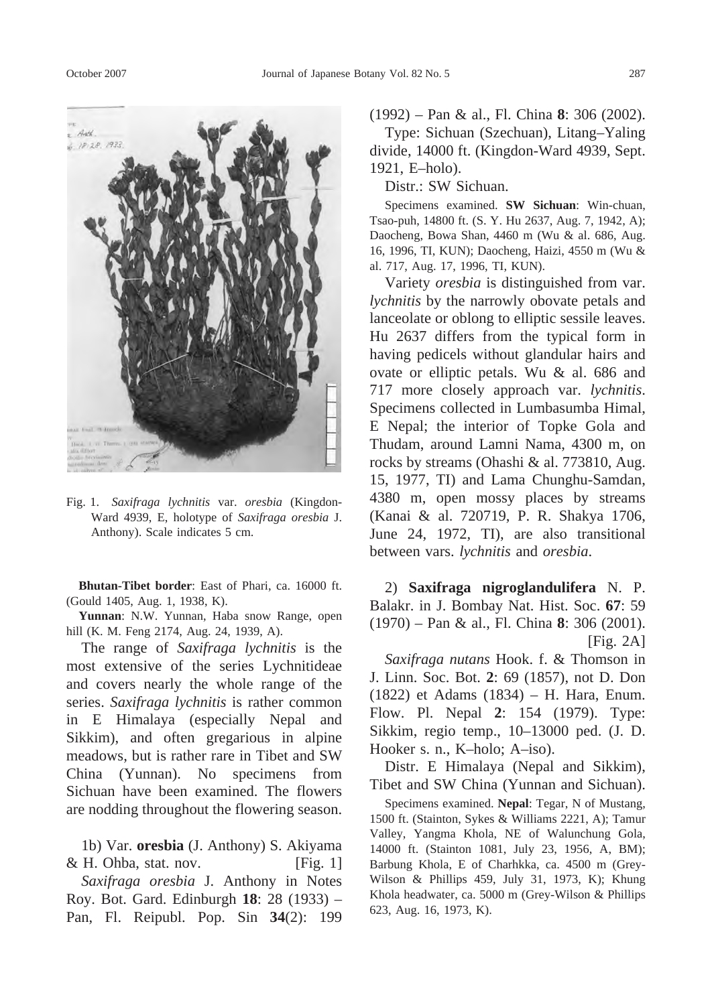

Fig. 1. *Saxifraga lychnitis* var. *oresbia* (Kingdon-Ward 4939, E, holotype of *Saxifraga oresbia* J. Anthony). Scale indicates 5 cm.

**Bhutan-Tibet border**: East of Phari, ca. 16000 ft. (Gould 1405, Aug. 1, 1938, K).

**Yunnan**: N.W. Yunnan, Haba snow Range, open hill (K. M. Feng 2174, Aug. 24, 1939, A).

The range of *Saxifraga lychnitis* is the most extensive of the series Lychnitideae and covers nearly the whole range of the series. *Saxifraga lychnitis* is rather common in E Himalaya (especially Nepal and Sikkim), and often gregarious in alpine meadows, but is rather rare in Tibet and SW China (Yunnan). No specimens from Sichuan have been examined. The flowers are nodding throughout the flowering season.

1b) Var. **oresbia** (J. Anthony) S. Akiyama  $& H. Ohba, stat. nov.$  [Fig. 1]

*Saxifraga oresbia* J. Anthony in Notes Roy. Bot. Gard. Edinburgh **18**: 28 (1933) – Pan, Fl. Reipubl. Pop. Sin **34**(2): 199 (1992) – Pan & al., Fl. China **8**: 306 (2002).

Type: Sichuan (Szechuan), Litang–Yaling divide, 14000 ft. (Kingdon-Ward 4939, Sept. 1921, E–holo).

Distr.: SW Sichuan.

Specimens examined. **SW Sichuan**: Win-chuan, Tsao-puh, 14800 ft. (S. Y. Hu 2637, Aug. 7, 1942, A); Daocheng, Bowa Shan, 4460 m (Wu & al. 686, Aug. 16, 1996, TI, KUN); Daocheng, Haizi, 4550 m (Wu & al. 717, Aug. 17, 1996, TI, KUN).

Variety *oresbia* is distinguished from var. *lychnitis* by the narrowly obovate petals and lanceolate or oblong to elliptic sessile leaves. Hu 2637 differs from the typical form in having pedicels without glandular hairs and ovate or elliptic petals. Wu & al. 686 and 717 more closely approach var. *lychnitis*. Specimens collected in Lumbasumba Himal, E Nepal; the interior of Topke Gola and Thudam, around Lamni Nama, 4300 m, on rocks by streams (Ohashi & al. 773810, Aug. 15, 1977, TI) and Lama Chunghu-Samdan, 4380 m, open mossy places by streams (Kanai & al. 720719, P. R. Shakya 1706, June 24, 1972, TI), are also transitional between vars. *lychnitis* and *oresbia*.

2) **Saxifraga nigroglandulifera** N. P. Balakr. in J. Bombay Nat. Hist. Soc. **67**: 59 (1970) – Pan & al., Fl. China **8**: 306 (2001).  $[Fig. 2A]$ 

*Saxifraga nutans* Hook. f. & Thomson in J. Linn. Soc. Bot. **2**: 69 (1857), not D. Don (1822) et Adams (1834) – H. Hara, Enum. Flow. Pl. Nepal **2**: 154 (1979). Type: Sikkim, regio temp., 10–13000 ped. (J. D. Hooker s. n., K–holo; A–iso).

Distr. E Himalaya (Nepal and Sikkim), Tibet and SW China (Yunnan and Sichuan).

Specimens examined. **Nepal**: Tegar, N of Mustang, 1500 ft. (Stainton, Sykes & Williams 2221, A); Tamur Valley, Yangma Khola, NE of Walunchung Gola, 14000 ft. (Stainton 1081, July 23, 1956, A, BM); Barbung Khola, E of Charhkka, ca. 4500 m (Grey-Wilson & Phillips 459, July 31, 1973, K); Khung Khola headwater, ca. 5000 m (Grey-Wilson & Phillips 623, Aug. 16, 1973, K).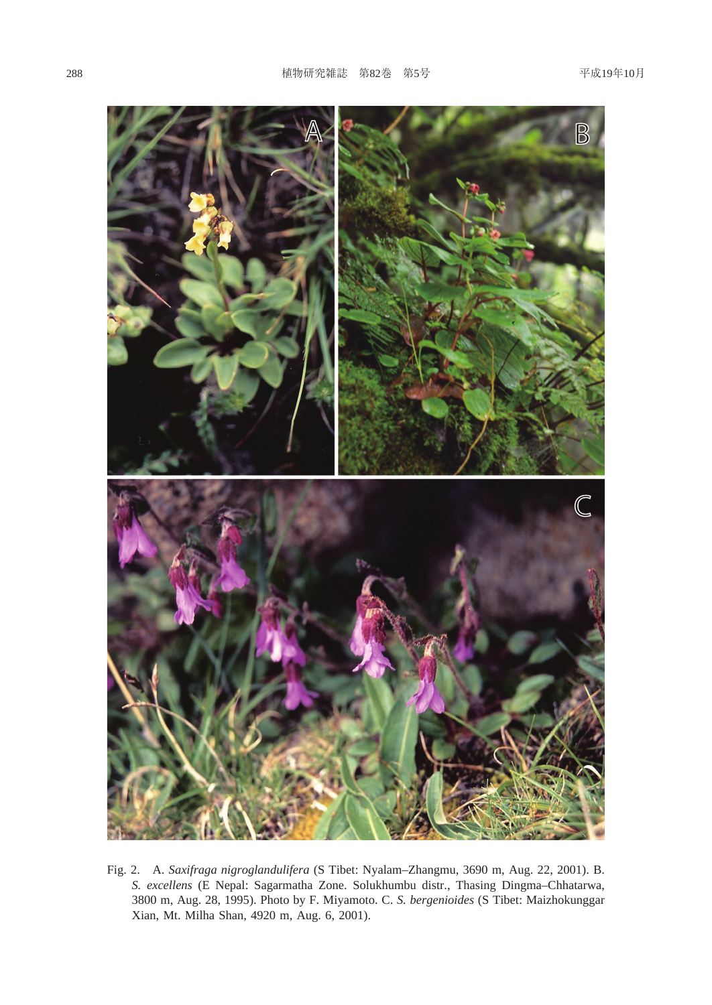

Fig. 2. A. *Saxifraga nigroglandulifera* (S Tibet: Nyalam–Zhangmu, 3690 m, Aug. 22, 2001). B. *S. excellens* (E Nepal: Sagarmatha Zone. Solukhumbu distr., Thasing Dingma–Chhatarwa, 3800 m, Aug. 28, 1995). Photo by F. Miyamoto. C. *S. bergenioides* (S Tibet: Maizhokunggar Xian, Mt. Milha Shan, 4920 m, Aug. 6, 2001).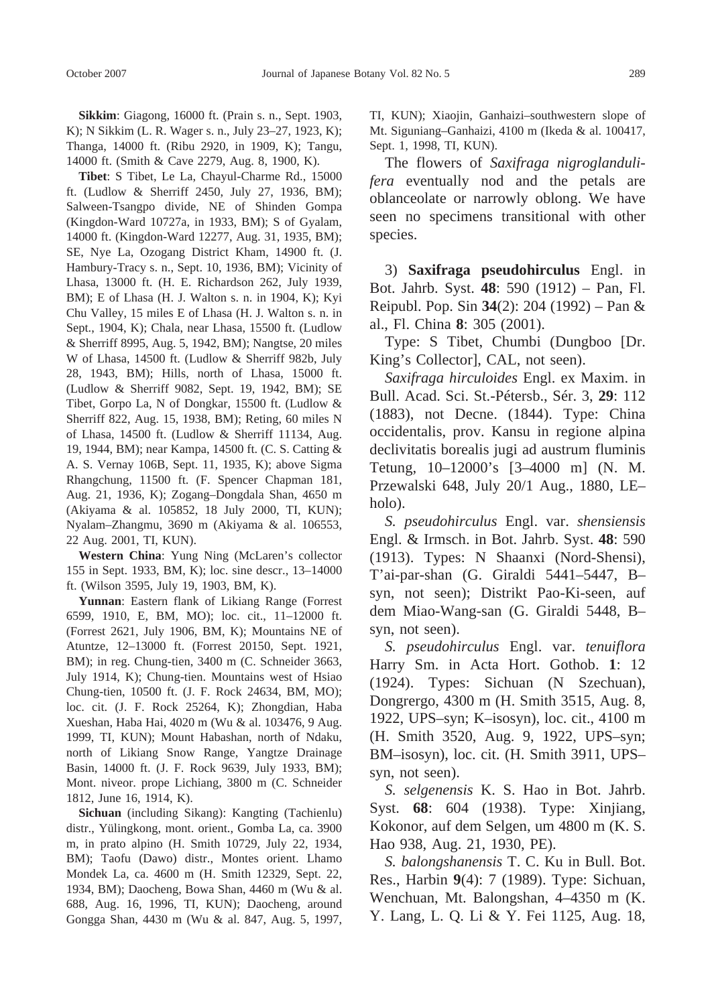**Sikkim**: Giagong, 16000 ft. (Prain s. n., Sept. 1903, K); N Sikkim (L. R. Wager s. n., July 23–27, 1923, K); Thanga, 14000 ft. (Ribu 2920, in 1909, K); Tangu, 14000 ft. (Smith & Cave 2279, Aug. 8, 1900, K).

**Tibet**: S Tibet, Le La, Chayul-Charme Rd., 15000 ft. (Ludlow & Sherriff 2450, July 27, 1936, BM); Salween-Tsangpo divide, NE of Shinden Gompa (Kingdon-Ward 10727a, in 1933, BM); S of Gyalam, 14000 ft. (Kingdon-Ward 12277, Aug. 31, 1935, BM); SE, Nye La, Ozogang District Kham, 14900 ft. (J. Hambury-Tracy s. n., Sept. 10, 1936, BM); Vicinity of Lhasa, 13000 ft. (H. E. Richardson 262, July 1939, BM); E of Lhasa (H. J. Walton s. n. in 1904, K); Kyi Chu Valley, 15 miles E of Lhasa (H. J. Walton s. n. in Sept., 1904, K); Chala, near Lhasa, 15500 ft. (Ludlow & Sherriff 8995, Aug. 5, 1942, BM); Nangtse, 20 miles W of Lhasa, 14500 ft. (Ludlow & Sherriff 982b, July 28, 1943, BM); Hills, north of Lhasa, 15000 ft. (Ludlow & Sherriff 9082, Sept. 19, 1942, BM); SE Tibet, Gorpo La, N of Dongkar, 15500 ft. (Ludlow & Sherriff 822, Aug. 15, 1938, BM); Reting, 60 miles N of Lhasa, 14500 ft. (Ludlow & Sherriff 11134, Aug. 19, 1944, BM); near Kampa, 14500 ft. (C. S. Catting & A. S. Vernay 106B, Sept. 11, 1935, K); above Sigma Rhangchung, 11500 ft. (F. Spencer Chapman 181, Aug. 21, 1936, K); Zogang–Dongdala Shan, 4650 m (Akiyama & al. 105852, 18 July 2000, TI, KUN); Nyalam–Zhangmu, 3690 m (Akiyama & al. 106553, 22 Aug. 2001, TI, KUN).

**Western China**: Yung Ning (McLaren's collector 155 in Sept. 1933, BM, K); loc. sine descr., 13–14000 ft. (Wilson 3595, July 19, 1903, BM, K).

**Yunnan**: Eastern flank of Likiang Range (Forrest 6599, 1910, E, BM, MO); loc. cit., 11–12000 ft. (Forrest 2621, July 1906, BM, K); Mountains NE of Atuntze, 12–13000 ft. (Forrest 20150, Sept. 1921, BM); in reg. Chung-tien, 3400 m (C. Schneider 3663, July 1914, K); Chung-tien. Mountains west of Hsiao Chung-tien, 10500 ft. (J. F. Rock 24634, BM, MO); loc. cit. (J. F. Rock 25264, K); Zhongdian, Haba Xueshan, Haba Hai, 4020 m (Wu & al. 103476, 9 Aug. 1999, TI, KUN); Mount Habashan, north of Ndaku, north of Likiang Snow Range, Yangtze Drainage Basin, 14000 ft. (J. F. Rock 9639, July 1933, BM); Mont. niveor. prope Lichiang, 3800 m (C. Schneider 1812, June 16, 1914, K).

**Sichuan** (including Sikang): Kangting (Tachienlu) distr., Yülingkong, mont. orient., Gomba La, ca. 3900 m, in prato alpino (H. Smith 10729, July 22, 1934, BM); Taofu (Dawo) distr., Montes orient. Lhamo Mondek La, ca. 4600 m (H. Smith 12329, Sept. 22, 1934, BM); Daocheng, Bowa Shan, 4460 m (Wu & al. 688, Aug. 16, 1996, TI, KUN); Daocheng, around Gongga Shan, 4430 m (Wu & al. 847, Aug. 5, 1997, TI, KUN); Xiaojin, Ganhaizi–southwestern slope of Mt. Siguniang–Ganhaizi, 4100 m (Ikeda & al. 100417, Sept. 1, 1998, TI, KUN).

The flowers of *Saxifraga nigroglandulifera* eventually nod and the petals are oblanceolate or narrowly oblong. We have seen no specimens transitional with other species.

3) **Saxifraga pseudohirculus** Engl. in Bot. Jahrb. Syst. **48**: 590 (1912) – Pan, Fl. Reipubl. Pop. Sin **34**(2): 204 (1992) – Pan & al., Fl. China **8**: 305 (2001).

Type: S Tibet, Chumbi (Dungboo [Dr. King's Collector], CAL, not seen).

*Saxifraga hirculoides* Engl. ex Maxim. in Bull. Acad. Sci. St.-Pétersb., Sér. 3, **29**: 112 (1883), not Decne. (1844). Type: China occidentalis, prov. Kansu in regione alpina declivitatis borealis jugi ad austrum fluminis Tetung, 10–12000's [3–4000 m] (N. M. Przewalski 648, July 20/1 Aug., 1880, LE– holo).

*S. pseudohirculus* Engl. var. *shensiensis* Engl. & Irmsch. in Bot. Jahrb. Syst. **48**: 590 (1913). Types: N Shaanxi (Nord-Shensi), T'ai-par-shan (G. Giraldi 5441–5447, B– syn, not seen); Distrikt Pao-Ki-seen, auf dem Miao-Wang-san (G. Giraldi 5448, B– syn, not seen).

*S. pseudohirculus* Engl. var. *tenuiflora* Harry Sm. in Acta Hort. Gothob. **1**: 12 (1924). Types: Sichuan (N Szechuan), Dongrergo, 4300 m (H. Smith 3515, Aug. 8, 1922, UPS–syn; K–isosyn), loc. cit., 4100 m (H. Smith 3520, Aug. 9, 1922, UPS–syn; BM–isosyn), loc. cit. (H. Smith 3911, UPS– syn, not seen).

*S. selgenensis* K. S. Hao in Bot. Jahrb. Syst. **68**: 604 (1938). Type: Xinjiang, Kokonor, auf dem Selgen, um 4800 m (K. S. Hao 938, Aug. 21, 1930, PE).

*S. balongshanensis* T. C. Ku in Bull. Bot. Res., Harbin **9**(4): 7 (1989). Type: Sichuan, Wenchuan, Mt. Balongshan, 4–4350 m (K. Y. Lang, L. Q. Li & Y. Fei 1125, Aug. 18,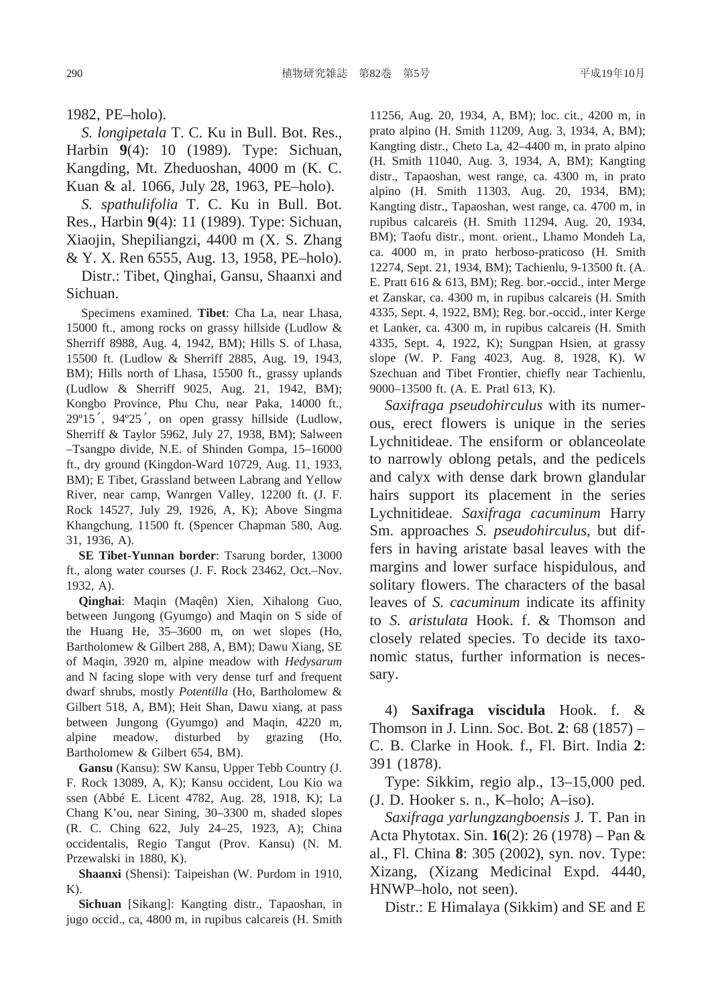1982, PE–holo).

*S. longipetala* T. C. Ku in Bull. Bot. Res., Harbin **9**(4): 10 (1989). Type: Sichuan, Kangding, Mt. Zheduoshan, 4000 m (K. C. Kuan & al. 1066, July 28, 1963, PE–holo).

*S. spathulifolia* T. C. Ku in Bull. Bot. Res., Harbin **9**(4): 11 (1989). Type: Sichuan, Xiaojin, Shepiliangzi, 4400 m (X. S. Zhang & Y. X. Ren 6555, Aug. 13, 1958, PE–holo).

Distr.: Tibet, Qinghai, Gansu, Shaanxi and Sichuan.

Specimens examined. **Tibet**: Cha La, near Lhasa, 15000 ft., among rocks on grassy hillside (Ludlow & Sherriff 8988, Aug. 4, 1942, BM); Hills S. of Lhasa, 15500 ft. (Ludlow & Sherriff 2885, Aug. 19, 1943, BM); Hills north of Lhasa, 15500 ft., grassy uplands (Ludlow & Sherriff 9025, Aug. 21, 1942, BM); Kongbo Province, Phu Chu, near Paka, 14000 ft., 29º15′, 94º25′, on open grassy hillside (Ludlow, Sherriff & Taylor 5962, July 27, 1938, BM); Salween –Tsangpo divide, N.E. of Shinden Gompa, 15–16000 ft., dry ground (Kingdon-Ward 10729, Aug. 11, 1933, BM); E Tibet, Grassland between Labrang and Yellow River, near camp, Wanrgen Valley, 12200 ft. (J. F. Rock 14527, July 29, 1926, A, K); Above Singma Khangchung, 11500 ft. (Spencer Chapman 580, Aug. 31, 1936, A).

**SE Tibet-Yunnan border**: Tsarung border, 13000 ft., along water courses (J. F. Rock 23462, Oct.–Nov. 1932, A).

**Qinghai**: Maqin (Maqên) Xien, Xihalong Guo, between Jungong (Gyumgo) and Maqin on S side of the Huang He, 35–3600 m, on wet slopes (Ho, Bartholomew & Gilbert 288, A, BM); Dawu Xiang, SE of Maqin, 3920 m, alpine meadow with *Hedysarum* and N facing slope with very dense turf and frequent dwarf shrubs, mostly *Potentilla* (Ho, Bartholomew & Gilbert 518, A, BM); Heit Shan, Dawu xiang, at pass between Jungong (Gyumgo) and Maqin, 4220 m, alpine meadow, disturbed by grazing (Ho, Bartholomew & Gilbert 654, BM).

**Gansu** (Kansu): SW Kansu, Upper Tebb Country (J. F. Rock 13089, A, K); Kansu occident, Lou Kio wa ssen (Abbé E. Licent 4782, Aug. 28, 1918, K); La Chang K'ou, near Sining, 30–3300 m, shaded slopes (R. C. Ching 622, July 24–25, 1923, A); China occidentalis, Regio Tangut (Prov. Kansu) (N. M. Przewalski in 1880, K).

**Shaanxi** (Shensi): Taipeishan (W. Purdom in 1910, K).

**Sichuan** [Sikang]: Kangting distr., Tapaoshan, in jugo occid., ca, 4800 m, in rupibus calcareis (H. Smith

11256, Aug. 20, 1934, A, BM); loc. cit., 4200 m, in prato alpino (H. Smith 11209, Aug. 3, 1934, A, BM); Kangting distr., Cheto La, 42–4400 m, in prato alpino (H. Smith 11040, Aug. 3, 1934, A, BM); Kangting distr., Tapaoshan, west range, ca. 4300 m, in prato alpino (H. Smith 11303, Aug. 20, 1934, BM); Kangting distr., Tapaoshan, west range, ca. 4700 m, in rupibus calcareis (H. Smith 11294, Aug. 20, 1934, BM); Taofu distr., mont. orient., Lhamo Mondeh La, ca. 4000 m, in prato herboso-praticoso (H. Smith 12274, Sept. 21, 1934, BM); Tachienlu, 9-13500 ft. (A. E. Pratt 616 & 613, BM); Reg. bor.-occid., inter Merge et Zanskar, ca. 4300 m, in rupibus calcareis (H. Smith 4335, Sept. 4, 1922, BM); Reg. bor.-occid., inter Kerge et Lanker, ca. 4300 m, in rupibus calcareis (H. Smith 4335, Sept. 4, 1922, K); Sungpan Hsien, at grassy slope (W. P. Fang 4023, Aug. 8, 1928, K). W Szechuan and Tibet Frontier, chiefly near Tachienlu, 9000–13500 ft. (A. E. Pratl 613, K).

*Saxifraga pseudohirculus* with its numerous, erect flowers is unique in the series Lychnitideae. The ensiform or oblanceolate to narrowly oblong petals, and the pedicels and calyx with dense dark brown glandular hairs support its placement in the series Lychnitideae. *Saxifraga cacuminum* Harry Sm. approaches *S. pseudohirculus*, but differs in having aristate basal leaves with the margins and lower surface hispidulous, and solitary flowers. The characters of the basal leaves of *S. cacuminum* indicate its affinity to *S. aristulata* Hook. f. & Thomson and closely related species. To decide its taxonomic status, further information is necessary.

4) **Saxifraga viscidula** Hook. f. & Thomson in J. Linn. Soc. Bot. **2**: 68 (1857) – C. B. Clarke in Hook. f., Fl. Birt. India **2**: 391 (1878).

Type: Sikkim, regio alp., 13–15,000 ped. (J. D. Hooker s. n., K–holo; A–iso).

*Saxifraga yarlungzangboensis* J. T. Pan in Acta Phytotax. Sin. **16**(2): 26 (1978) – Pan & al., Fl. China **8**: 305 (2002), syn. nov. Type: Xizang, (Xizang Medicinal Expd. 4440, HNWP–holo, not seen).

Distr.: E Himalaya (Sikkim) and SE and E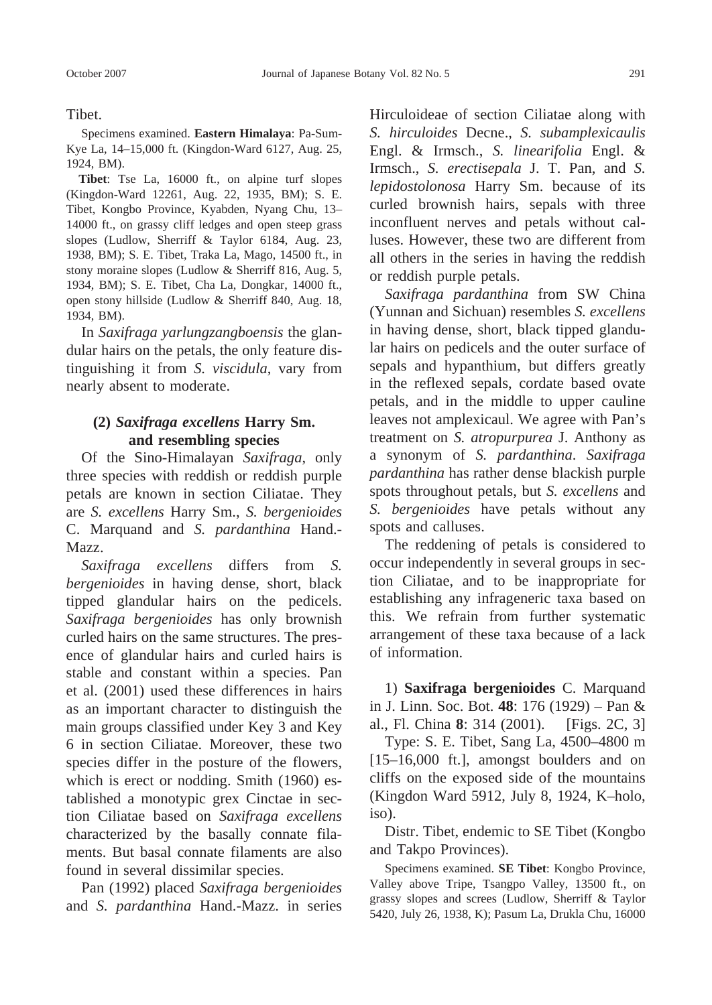Tibet.

Specimens examined. **Eastern Himalaya**: Pa-Sum-Kye La, 14–15,000 ft. (Kingdon-Ward 6127, Aug. 25, 1924, BM).

**Tibet**: Tse La, 16000 ft., on alpine turf slopes (Kingdon-Ward 12261, Aug. 22, 1935, BM); S. E. Tibet, Kongbo Province, Kyabden, Nyang Chu, 13– 14000 ft., on grassy cliff ledges and open steep grass slopes (Ludlow, Sherriff & Taylor 6184, Aug. 23, 1938, BM); S. E. Tibet, Traka La, Mago, 14500 ft., in stony moraine slopes (Ludlow & Sherriff 816, Aug. 5, 1934, BM); S. E. Tibet, Cha La, Dongkar, 14000 ft., open stony hillside (Ludlow & Sherriff 840, Aug. 18, 1934, BM).

In *Saxifraga yarlungzangboensis* the glandular hairs on the petals, the only feature distinguishing it from *S. viscidula*, vary from nearly absent to moderate.

## **(2)** *Saxifraga excellens* **Harry Sm. and resembling species**

Of the Sino-Himalayan *Saxifraga*, only three species with reddish or reddish purple petals are known in section Ciliatae. They are *S. excellens* Harry Sm., *S. bergenioides* C. Marquand and *S. pardanthina* Hand.- Mazz.

*Saxifraga excellens* differs from *S. bergenioides* in having dense, short, black tipped glandular hairs on the pedicels. *Saxifraga bergenioides* has only brownish curled hairs on the same structures. The presence of glandular hairs and curled hairs is stable and constant within a species. Pan et al. (2001) used these differences in hairs as an important character to distinguish the main groups classified under Key 3 and Key 6 in section Ciliatae. Moreover, these two species differ in the posture of the flowers, which is erect or nodding. Smith (1960) established a monotypic grex Cinctae in section Ciliatae based on *Saxifraga excellens* characterized by the basally connate filaments. But basal connate filaments are also found in several dissimilar species.

Pan (1992) placed *Saxifraga bergenioides* and *S. pardanthina* Hand.-Mazz. in series Hirculoideae of section Ciliatae along with *S. hirculoides* Decne., *S. subamplexicaulis* Engl. & Irmsch., *S. linearifolia* Engl. & Irmsch., *S. erectisepala* J. T. Pan, and *S. lepidostolonosa* Harry Sm. because of its curled brownish hairs, sepals with three inconfluent nerves and petals without calluses. However, these two are different from all others in the series in having the reddish or reddish purple petals.

*Saxifraga pardanthina* from SW China (Yunnan and Sichuan) resembles *S. excellens* in having dense, short, black tipped glandular hairs on pedicels and the outer surface of sepals and hypanthium, but differs greatly in the reflexed sepals, cordate based ovate petals, and in the middle to upper cauline leaves not amplexicaul. We agree with Pan's treatment on *S. atropurpurea* J. Anthony as a synonym of *S. pardanthina*. *Saxifraga pardanthina* has rather dense blackish purple spots throughout petals, but *S. excellens* and *S. bergenioides* have petals without any spots and calluses.

The reddening of petals is considered to occur independently in several groups in section Ciliatae, and to be inappropriate for establishing any infrageneric taxa based on this. We refrain from further systematic arrangement of these taxa because of a lack of information.

1) **Saxifraga bergenioides** C. Marquand in J. Linn. Soc. Bot. **48**: 176 (1929) – Pan & al., Fl. China **8**: 314 (2001). [Figs. 2C, 3]

Type: S. E. Tibet, Sang La, 4500–4800 m [15–16,000 ft.], amongst boulders and on cliffs on the exposed side of the mountains (Kingdon Ward 5912, July 8, 1924, K–holo, iso).

Distr. Tibet, endemic to SE Tibet (Kongbo and Takpo Provinces).

Specimens examined. **SE Tibet**: Kongbo Province, Valley above Tripe, Tsangpo Valley, 13500 ft., on grassy slopes and screes (Ludlow, Sherriff & Taylor 5420, July 26, 1938, K); Pasum La, Drukla Chu, 16000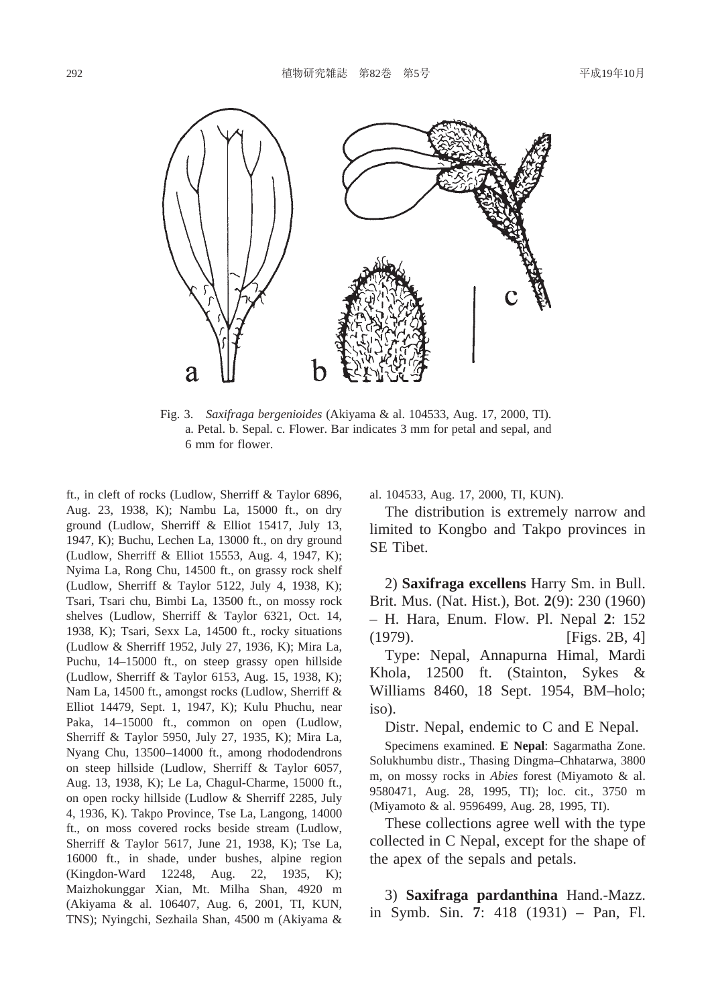

Fig. 3. *Saxifraga bergenioides* (Akiyama & al. 104533, Aug. 17, 2000, TI). a. Petal. b. Sepal. c. Flower. Bar indicates 3 mm for petal and sepal, and 6 mm for flower.

ft., in cleft of rocks (Ludlow, Sherriff & Taylor 6896, Aug. 23, 1938, K); Nambu La, 15000 ft., on dry ground (Ludlow, Sherriff & Elliot 15417, July 13, 1947, K); Buchu, Lechen La, 13000 ft., on dry ground (Ludlow, Sherriff & Elliot 15553, Aug. 4, 1947, K); Nyima La, Rong Chu, 14500 ft., on grassy rock shelf (Ludlow, Sherriff & Taylor 5122, July 4, 1938, K); Tsari, Tsari chu, Bimbi La, 13500 ft., on mossy rock shelves (Ludlow, Sherriff & Taylor 6321, Oct. 14, 1938, K); Tsari, Sexx La, 14500 ft., rocky situations (Ludlow & Sherriff 1952, July 27, 1936, K); Mira La, Puchu, 14–15000 ft., on steep grassy open hillside (Ludlow, Sherriff & Taylor 6153, Aug. 15, 1938, K); Nam La, 14500 ft., amongst rocks (Ludlow, Sherriff & Elliot 14479, Sept. 1, 1947, K); Kulu Phuchu, near Paka, 14–15000 ft., common on open (Ludlow, Sherriff & Taylor 5950, July 27, 1935, K); Mira La, Nyang Chu, 13500–14000 ft., among rhododendrons on steep hillside (Ludlow, Sherriff & Taylor 6057, Aug. 13, 1938, K); Le La, Chagul-Charme, 15000 ft., on open rocky hillside (Ludlow & Sherriff 2285, July 4, 1936, K). Takpo Province, Tse La, Langong, 14000 ft., on moss covered rocks beside stream (Ludlow, Sherriff & Taylor 5617, June 21, 1938, K); Tse La, 16000 ft., in shade, under bushes, alpine region (Kingdon-Ward 12248, Aug. 22, 1935, K); Maizhokunggar Xian, Mt. Milha Shan, 4920 m (Akiyama & al. 106407, Aug. 6, 2001, TI, KUN, TNS); Nyingchi, Sezhaila Shan, 4500 m (Akiyama &

al. 104533, Aug. 17, 2000, TI, KUN).

The distribution is extremely narrow and limited to Kongbo and Takpo provinces in SE Tibet.

2) **Saxifraga excellens** Harry Sm. in Bull. Brit. Mus. (Nat. Hist.), Bot. **2**(9): 230 (1960) – H. Hara, Enum. Flow. Pl. Nepal **2**: 152 (1979). [Figs. 2B, 4] Type: Nepal, Annapurna Himal, Mardi Khola, 12500 ft. (Stainton, Sykes & Williams 8460, 18 Sept. 1954, BM–holo; iso).

Distr. Nepal, endemic to C and E Nepal.

Specimens examined. **E Nepal**: Sagarmatha Zone. Solukhumbu distr., Thasing Dingma–Chhatarwa, 3800 m, on mossy rocks in *Abies* forest (Miyamoto & al. 9580471, Aug. 28, 1995, TI); loc. cit., 3750 m (Miyamoto & al. 9596499, Aug. 28, 1995, TI).

These collections agree well with the type collected in C Nepal, except for the shape of the apex of the sepals and petals.

3) **Saxifraga pardanthina** Hand.-Mazz. in Symb. Sin. **7**: 418 (1931) – Pan, Fl.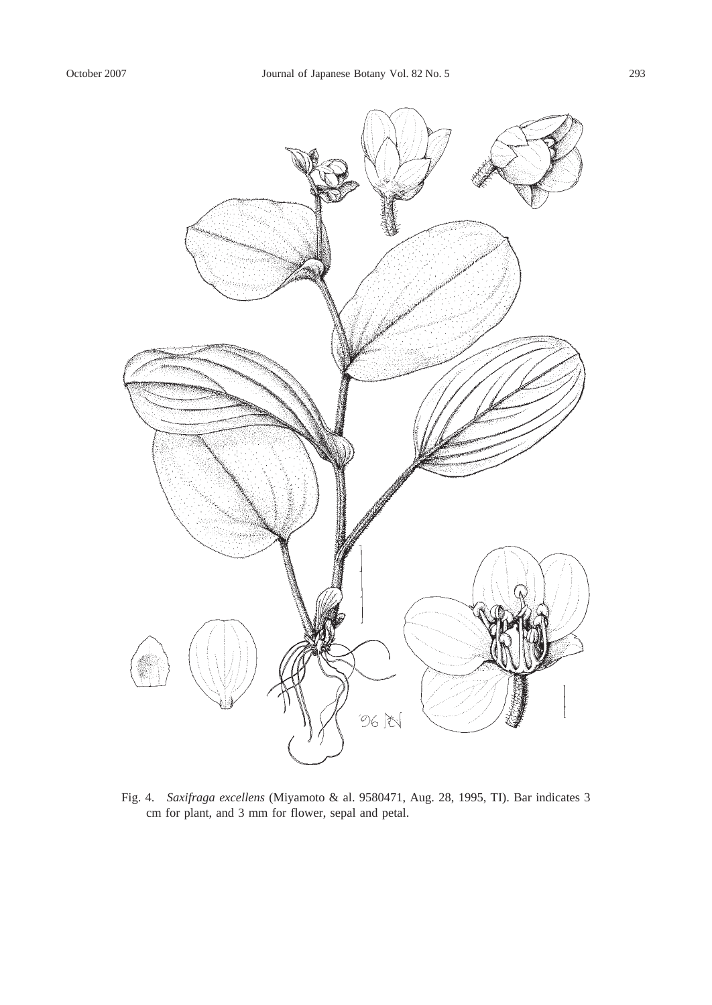

Fig. 4. *Saxifraga excellens* (Miyamoto & al. 9580471, Aug. 28, 1995, TI). Bar indicates 3 cm for plant, and 3 mm for flower, sepal and petal.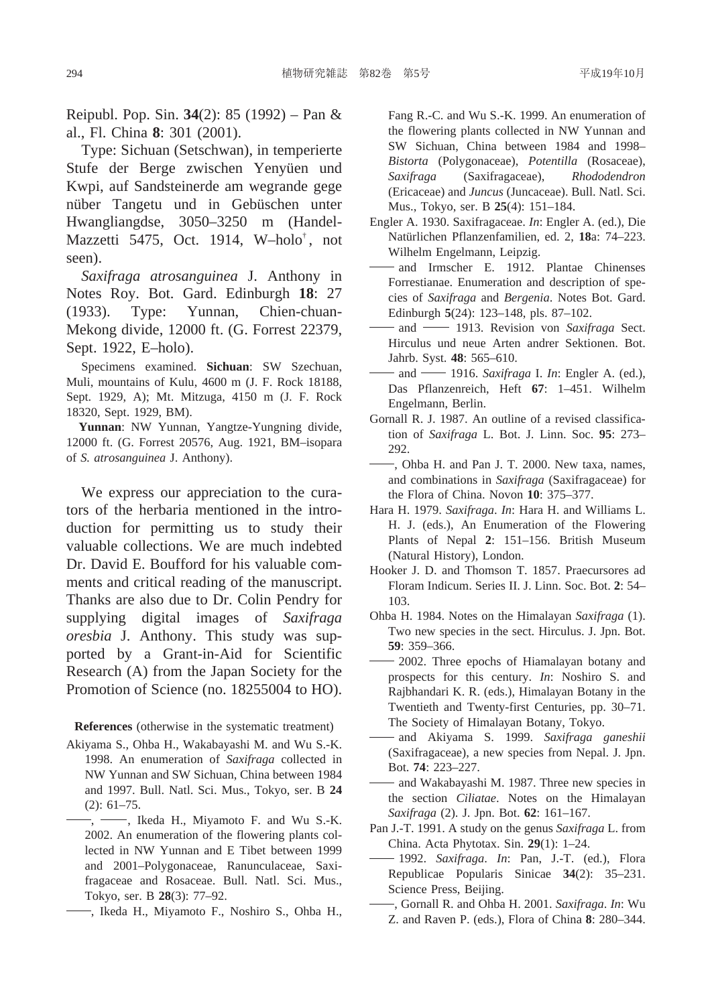Reipubl. Pop. Sin. **34**(2): 85 (1992) – Pan & al., Fl. China **8**: 301 (2001).

Type: Sichuan (Setschwan), in temperierte Stufe der Berge zwischen Yenyüen und Kwpi, auf Sandsteinerde am wegrande gege nüber Tangetu und in Gebüschen unter Hwangliangdse, 3050–3250 m (Handel-Mazzetti 5475, Oct. 1914, W–holo† , not seen).

*Saxifraga atrosanguinea* J. Anthony in Notes Roy. Bot. Gard. Edinburgh **18**: 27 (1933). Type: Yunnan, Chien-chuan-Mekong divide, 12000 ft. (G. Forrest 22379, Sept. 1922, E–holo).

Specimens examined. **Sichuan**: SW Szechuan, Muli, mountains of Kulu, 4600 m (J. F. Rock 18188, Sept. 1929, A); Mt. Mitzuga, 4150 m (J. F. Rock 18320, Sept. 1929, BM).

**Yunnan**: NW Yunnan, Yangtze-Yungning divide, 12000 ft. (G. Forrest 20576, Aug. 1921, BM–isopara of *S. atrosanguinea* J. Anthony).

We express our appreciation to the curators of the herbaria mentioned in the introduction for permitting us to study their valuable collections. We are much indebted Dr. David E. Boufford for his valuable comments and critical reading of the manuscript. Thanks are also due to Dr. Colin Pendry for supplying digital images of *Saxifraga oresbia* J. Anthony. This study was supported by a Grant-in-Aid for Scientific Research (A) from the Japan Society for the Promotion of Science (no. 18255004 to HO).

**References** (otherwise in the systematic treatment)

- Akiyama S., Ohba H., Wakabayashi M. and Wu S.-K. 1998. An enumeration of *Saxifraga* collected in NW Yunnan and SW Sichuan, China between 1984 and 1997. Bull. Natl. Sci. Mus., Tokyo, ser. B **24** (2): 61–75.
- $-$ ,  $-$ , Ikeda H., Miyamoto F. and Wu S.-K. 2002. An enumeration of the flowering plants collected in NW Yunnan and E Tibet between 1999 and 2001–Polygonaceae, Ranunculaceae, Saxifragaceae and Rosaceae. Bull. Natl. Sci. Mus., Tokyo, ser. B **28**(3): 77–92.
- , Ikeda H., Miyamoto F., Noshiro S., Ohba H.,

Fang R.-C. and Wu S.-K. 1999. An enumeration of the flowering plants collected in NW Yunnan and SW Sichuan, China between 1984 and 1998– *Bistorta* (Polygonaceae), *Potentilla* (Rosaceae), *Saxifraga* (Saxifragaceae), *Rhododendron* (Ericaceae) and *Juncus* (Juncaceae). Bull. Natl. Sci. Mus., Tokyo, ser. B **25**(4): 151–184.

- Engler A. 1930. Saxifragaceae. *In*: Engler A. (ed.), Die Natürlichen Pflanzenfamilien, ed. 2, **18**a: 74–223. Wilhelm Engelmann, Leipzig.
- and Irmscher E. 1912. Plantae Chinenses Forrestianae. Enumeration and description of species of *Saxifraga* and *Bergenia*. Notes Bot. Gard. Edinburgh **5**(24): 123–148, pls. 87–102.
- and 1913. Revision von *Saxifraga* Sect. Hirculus und neue Arten andrer Sektionen. Bot. Jahrb. Syst. **48**: 565–610.
- and 1916. *Saxifraga* I. *In*: Engler A. (ed.), Das Pflanzenreich, Heft **67**: 1–451. Wilhelm Engelmann, Berlin.
- Gornall R. J. 1987. An outline of a revised classification of *Saxifraga* L. Bot. J. Linn. Soc. **95**: 273– 292.
- , Ohba H. and Pan J. T. 2000. New taxa, names, and combinations in *Saxifraga* (Saxifragaceae) for the Flora of China. Novon **10**: 375–377.
- Hara H. 1979. *Saxifraga*. *In*: Hara H. and Williams L. H. J. (eds.), An Enumeration of the Flowering Plants of Nepal **2**: 151–156. British Museum (Natural History), London.
- Hooker J. D. and Thomson T. 1857. Praecursores ad Floram Indicum. Series II. J. Linn. Soc. Bot. **2**: 54– 103.
- Ohba H. 1984. Notes on the Himalayan *Saxifraga* (1). Two new species in the sect. Hirculus. J. Jpn. Bot. **59**: 359–366.
- 2002. Three epochs of Hiamalayan botany and prospects for this century. *In*: Noshiro S. and Rajbhandari K. R. (eds.), Himalayan Botany in the Twentieth and Twenty-first Centuries, pp. 30–71. The Society of Himalayan Botany, Tokyo.
- and Akiyama S. 1999. *Saxifraga ganeshii* (Saxifragaceae), a new species from Nepal. J. Jpn. Bot. **74**: 223–227.
- and Wakabayashi M. 1987. Three new species in the section *Ciliatae*. Notes on the Himalayan *Saxifraga* (2). J. Jpn. Bot. **62**: 161–167.
- Pan J.-T. 1991. A study on the genus *Saxifraga* L. from China. Acta Phytotax. Sin. **29**(1): 1–24.
- 1992. *Saxifraga*. *In*: Pan, J.-T. (ed.), Flora Republicae Popularis Sinicae **34**(2): 35–231. Science Press, Beijing.
- , Gornall R. and Ohba H. 2001. *Saxifraga*. *In*: Wu Z. and Raven P. (eds.), Flora of China **8**: 280–344.